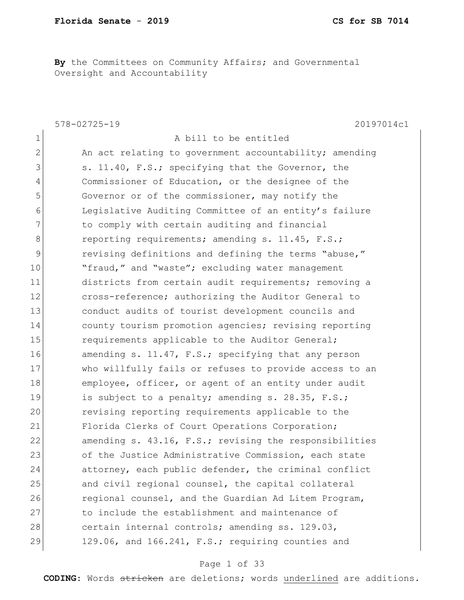**By** the Committees on Community Affairs; and Governmental Oversight and Accountability

|              | $578 - 02725 - 19$<br>20197014c1                       |
|--------------|--------------------------------------------------------|
| $\mathbf 1$  | A bill to be entitled                                  |
| $\mathbf{2}$ | An act relating to government accountability; amending |
| 3            | s. 11.40, F.S.; specifying that the Governor, the      |
| 4            | Commissioner of Education, or the designee of the      |
| 5            | Governor or of the commissioner, may notify the        |
| 6            | Legislative Auditing Committee of an entity's failure  |
| 7            | to comply with certain auditing and financial          |
| 8            | reporting requirements; amending s. 11.45, F.S.;       |
| 9            | revising definitions and defining the terms "abuse,"   |
| 10           | "fraud," and "waste"; excluding water management       |
| 11           | districts from certain audit requirements; removing a  |
| 12           | cross-reference; authorizing the Auditor General to    |
| 13           | conduct audits of tourist development councils and     |
| 14           | county tourism promotion agencies; revising reporting  |
| 15           | requirements applicable to the Auditor General;        |
| 16           | amending s. 11.47, F.S.; specifying that any person    |
| 17           | who willfully fails or refuses to provide access to an |
| 18           | employee, officer, or agent of an entity under audit   |
| 19           | is subject to a penalty; amending s. 28.35, F.S.;      |
| 20           | revising reporting requirements applicable to the      |
| 21           | Florida Clerks of Court Operations Corporation;        |
| 22           | amending s. 43.16, F.S.; revising the responsibilities |
| 23           | of the Justice Administrative Commission, each state   |
| 24           | attorney, each public defender, the criminal conflict  |
| 25           | and civil regional counsel, the capital collateral     |
| 26           | regional counsel, and the Guardian Ad Litem Program,   |
| 27           | to include the establishment and maintenance of        |
| 28           | certain internal controls; amending ss. 129.03,        |
| 29           | 129.06, and 166.241, F.S.; requiring counties and      |

### Page 1 of 33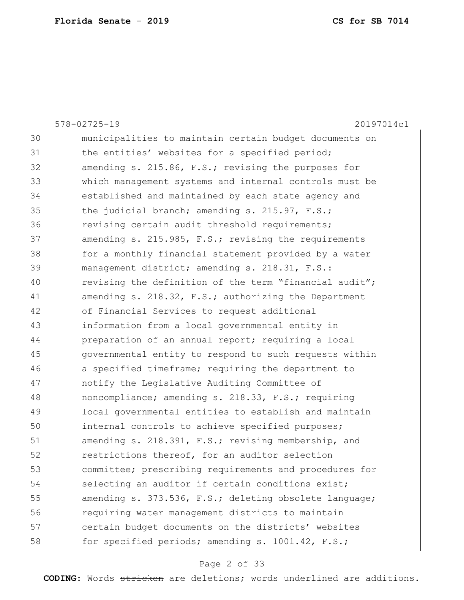|    | $578 - 02725 - 19$<br>20197014c1                       |
|----|--------------------------------------------------------|
| 30 | municipalities to maintain certain budget documents on |
| 31 | the entities' websites for a specified period;         |
| 32 | amending s. 215.86, F.S.; revising the purposes for    |
| 33 | which management systems and internal controls must be |
| 34 | established and maintained by each state agency and    |
| 35 | the judicial branch; amending s. 215.97, F.S.;         |
| 36 | revising certain audit threshold requirements;         |
| 37 | amending s. 215.985, F.S.; revising the requirements   |
| 38 | for a monthly financial statement provided by a water  |
| 39 | management district; amending s. 218.31, F.S.:         |
| 40 | revising the definition of the term "financial audit"; |
| 41 | amending s. 218.32, F.S.; authorizing the Department   |
| 42 | of Financial Services to request additional            |
| 43 | information from a local governmental entity in        |
| 44 | preparation of an annual report; requiring a local     |
| 45 | governmental entity to respond to such requests within |
| 46 | a specified timeframe; requiring the department to     |
| 47 | notify the Legislative Auditing Committee of           |
| 48 | noncompliance; amending s. 218.33, F.S.; requiring     |
| 49 | local governmental entities to establish and maintain  |
| 50 | internal controls to achieve specified purposes;       |
| 51 | amending s. 218.391, F.S.; revising membership, and    |
| 52 | restrictions thereof, for an auditor selection         |
| 53 | committee; prescribing requirements and procedures for |
| 54 | selecting an auditor if certain conditions exist;      |
| 55 | amending s. 373.536, F.S.; deleting obsolete language; |
| 56 | requiring water management districts to maintain       |
| 57 | certain budget documents on the districts' websites    |
| 58 | for specified periods; amending s. 1001.42, F.S.;      |
|    |                                                        |

# Page 2 of 33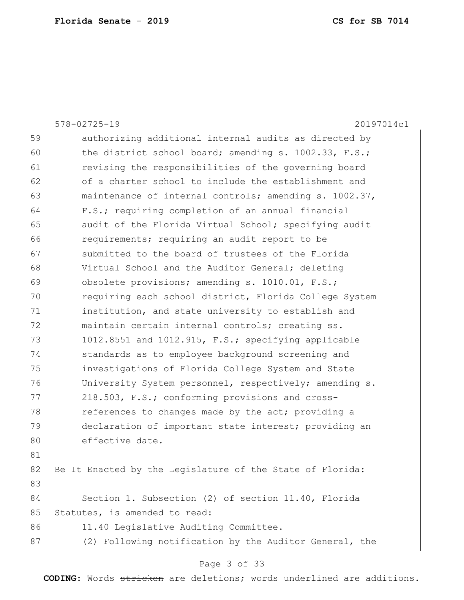|    | $578 - 02725 - 19$<br>20197014c1                          |
|----|-----------------------------------------------------------|
| 59 | authorizing additional internal audits as directed by     |
| 60 | the district school board; amending s. 1002.33, F.S.;     |
| 61 | revising the responsibilities of the governing board      |
| 62 | of a charter school to include the establishment and      |
| 63 | maintenance of internal controls; amending s. 1002.37,    |
| 64 | F.S.; requiring completion of an annual financial         |
| 65 | audit of the Florida Virtual School; specifying audit     |
| 66 | requirements; requiring an audit report to be             |
| 67 | submitted to the board of trustees of the Florida         |
| 68 | Virtual School and the Auditor General; deleting          |
| 69 | obsolete provisions; amending s. 1010.01, F.S.;           |
| 70 | requiring each school district, Florida College System    |
| 71 | institution, and state university to establish and        |
| 72 | maintain certain internal controls; creating ss.          |
| 73 | 1012.8551 and 1012.915, F.S.; specifying applicable       |
| 74 | standards as to employee background screening and         |
| 75 | investigations of Florida College System and State        |
| 76 | University System personnel, respectively; amending s.    |
| 77 | 218.503, F.S.; conforming provisions and cross-           |
| 78 | references to changes made by the act; providing a        |
| 79 | declaration of important state interest; providing an     |
| 80 | effective date.                                           |
| 81 |                                                           |
| 82 | Be It Enacted by the Legislature of the State of Florida: |
| 83 |                                                           |
| 84 | Section 1. Subsection (2) of section 11.40, Florida       |
| 85 | Statutes, is amended to read:                             |
| 86 | 11.40 Legislative Auditing Committee.-                    |
| 87 | (2) Following notification by the Auditor General, the    |
|    | Page 3 of 33                                              |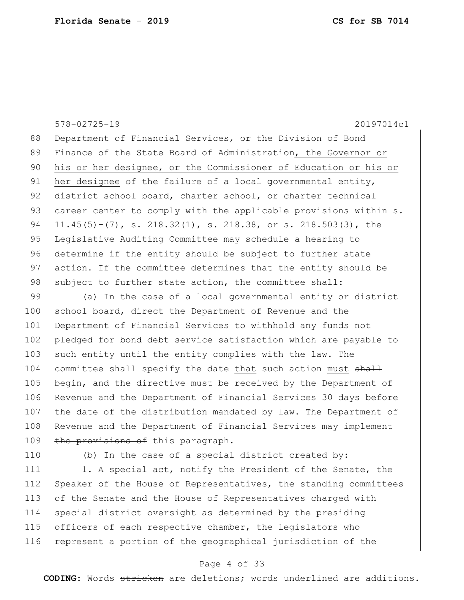578-02725-19 20197014c1 88 Department of Financial Services,  $\Theta$ r the Division of Bond 89 Finance of the State Board of Administration, the Governor or 90 his or her designee, or the Commissioner of Education or his or 91 her designee of the failure of a local governmental entity, 92 district school board, charter school, or charter technical 93 career center to comply with the applicable provisions within s. 94 11.45(5)-(7), s. 218.32(1), s. 218.38, or s. 218.503(3), the 95 Legislative Auditing Committee may schedule a hearing to 96 determine if the entity should be subject to further state 97 action. If the committee determines that the entity should be 98 subject to further state action, the committee shall:

99 (a) In the case of a local governmental entity or district 100 school board, direct the Department of Revenue and the 101 Department of Financial Services to withhold any funds not 102 pledged for bond debt service satisfaction which are payable to 103 such entity until the entity complies with the law. The 104 committee shall specify the date that such action must shall 105 begin, and the directive must be received by the Department of 106 Revenue and the Department of Financial Services 30 days before 107 the date of the distribution mandated by law. The Department of 108 Revenue and the Department of Financial Services may implement 109 the provisions of this paragraph.

110 (b) In the case of a special district created by:

111 1. A special act, notify the President of the Senate, the 112 Speaker of the House of Representatives, the standing committees 113 of the Senate and the House of Representatives charged with 114 special district oversight as determined by the presiding 115 officers of each respective chamber, the legislators who 116 represent a portion of the geographical jurisdiction of the

#### Page 4 of 33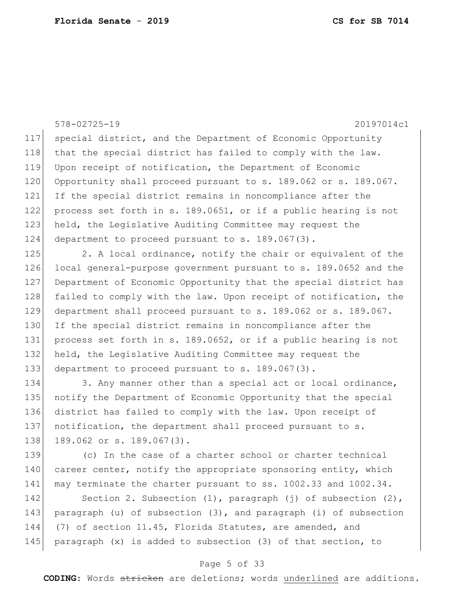578-02725-19 20197014c1 117 special district, and the Department of Economic Opportunity 118 that the special district has failed to comply with the law. 119 Upon receipt of notification, the Department of Economic 120 Opportunity shall proceed pursuant to s. 189.062 or s. 189.067. 121 If the special district remains in noncompliance after the 122 process set forth in s. 189.0651, or if a public hearing is not 123 held, the Legislative Auditing Committee may request the 124 department to proceed pursuant to s. 189.067(3). 125 2. A local ordinance, notify the chair or equivalent of the 126 local general-purpose government pursuant to s. 189.0652 and the 127 Department of Economic Opportunity that the special district has 128 failed to comply with the law. Upon receipt of notification, the 129 department shall proceed pursuant to s. 189.062 or s. 189.067. 130 If the special district remains in noncompliance after the 131 process set forth in s. 189.0652, or if a public hearing is not 132 held, the Legislative Auditing Committee may request the 133 department to proceed pursuant to s. 189.067(3). 134 3. Any manner other than a special act or local ordinance, 135 notify the Department of Economic Opportunity that the special 136 district has failed to comply with the law. Upon receipt of 137 notification, the department shall proceed pursuant to s. 138 189.062 or s. 189.067(3). 139 (c) In the case of a charter school or charter technical 140 career center, notify the appropriate sponsoring entity, which 141 may terminate the charter pursuant to ss. 1002.33 and 1002.34. 142 Section 2. Subsection (1), paragraph (j) of subsection (2), 143 paragraph (u) of subsection (3), and paragraph (i) of subsection 144 (7) of section 11.45, Florida Statutes, are amended, and 145 paragraph (x) is added to subsection (3) of that section, to

#### Page 5 of 33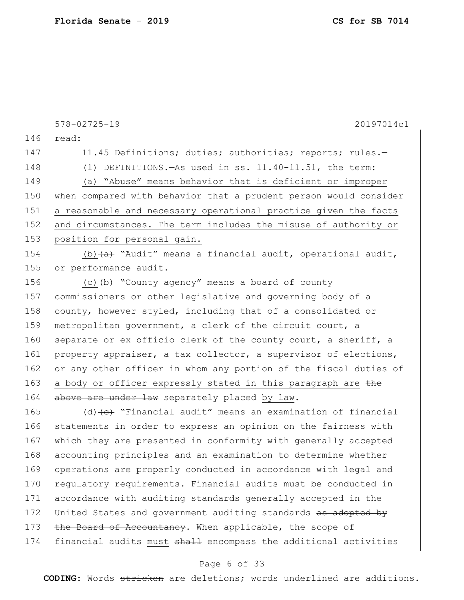146 read: 147 11.45 Definitions; duties; authorities; reports; rules. 148 (1) DEFINITIONS.—As used in ss. 11.40-11.51, the term: 149 (a) "Abuse" means behavior that is deficient or improper 150 when compared with behavior that a prudent person would consider 151 a reasonable and necessary operational practice given the facts 152 and circumstances. The term includes the misuse of authority or 153 position for personal gain. 154 (b)  $(a)$  "Audit" means a financial audit, operational audit, 155 or performance audit. 156  $(c)$   $(b)$  "County agency" means a board of county 157 commissioners or other legislative and governing body of a 158 county, however styled, including that of a consolidated or 159 metropolitan government, a clerk of the circuit court, a 160 separate or ex officio clerk of the county court, a sheriff, a 161 property appraiser, a tax collector, a supervisor of elections, 162 or any other officer in whom any portion of the fiscal duties of 163 a body or officer expressly stated in this paragraph are the 164 above are under law separately placed by law. 165 (d)  $\left(e\right)$  "Financial audit" means an examination of financial 166 statements in order to express an opinion on the fairness with 167 which they are presented in conformity with generally accepted 168 accounting principles and an examination to determine whether 169 operations are properly conducted in accordance with legal and 170 requiatory requirements. Financial audits must be conducted in 171 accordance with auditing standards generally accepted in the 172 United States and government auditing standards as adopted by 173 the Board of Accountancy. When applicable, the scope of 174 financial audits must shall encompass the additional activities

578-02725-19 20197014c1

### Page 6 of 33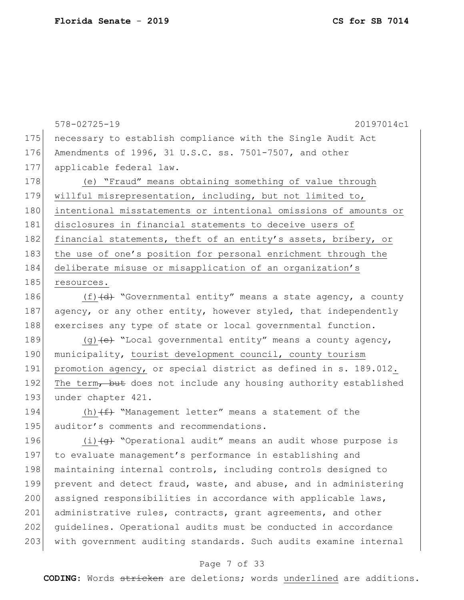175 necessary to establish compliance with the Single Audit Act 176 Amendments of 1996, 31 U.S.C. ss. 7501-7507, and other 177 applicable federal law. 178 (e) "Fraud" means obtaining something of value through 179 willful misrepresentation, including, but not limited to, 180 intentional misstatements or intentional omissions of amounts or 181 disclosures in financial statements to deceive users of 182 financial statements, theft of an entity's assets, bribery, or 183 the use of one's position for personal enrichment through the 184 deliberate misuse or misapplication of an organization's 185 resources. 186  $(f)$   $(d)$  "Governmental entity" means a state agency, a county 187 agency, or any other entity, however styled, that independently 188 exercises any type of state or local governmental function. 189  $(q)$  (e) "Local governmental entity" means a county agency, 190 municipality, tourist development council, county tourism 191 promotion agency, or special district as defined in s. 189.012. 192 The term, but does not include any housing authority established 193 under chapter 421. 194  $(h)$   $(f)$  "Management letter" means a statement of the 195 auditor's comments and recommendations. 196 (i) (g) "Operational audit" means an audit whose purpose is 197 to evaluate management's performance in establishing and 198 maintaining internal controls, including controls designed to 199 prevent and detect fraud, waste, and abuse, and in administering 200 assigned responsibilities in accordance with applicable laws, 201 administrative rules, contracts, grant agreements, and other 202 | guidelines. Operational audits must be conducted in accordance 203 with government auditing standards. Such audits examine internal

578-02725-19 20197014c1

#### Page 7 of 33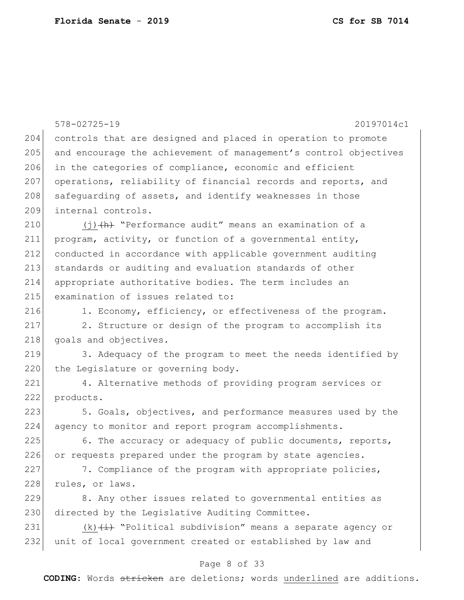|     | $578 - 02725 - 19$<br>20197014c1                                 |
|-----|------------------------------------------------------------------|
| 204 | controls that are designed and placed in operation to promote    |
| 205 | and encourage the achievement of management's control objectives |
| 206 | in the categories of compliance, economic and efficient          |
| 207 | operations, reliability of financial records and reports, and    |
| 208 | safequarding of assets, and identify weaknesses in those         |
| 209 | internal controls.                                               |
| 210 | $(j)$ $(h)$ "Performance audit" means an examination of a        |
| 211 | program, activity, or function of a governmental entity,         |
| 212 | conducted in accordance with applicable government auditing      |
| 213 | standards or auditing and evaluation standards of other          |
| 214 | appropriate authoritative bodies. The term includes an           |
| 215 | examination of issues related to:                                |
| 216 | 1. Economy, efficiency, or effectiveness of the program.         |
| 217 | 2. Structure or design of the program to accomplish its          |
| 218 | goals and objectives.                                            |
| 219 | 3. Adequacy of the program to meet the needs identified by       |
| 220 | the Legislature or governing body.                               |
| 221 | 4. Alternative methods of providing program services or          |
| 222 | products.                                                        |
| 223 | 5. Goals, objectives, and performance measures used by the       |
| 224 | agency to monitor and report program accomplishments.            |
| 225 | 6. The accuracy or adequacy of public documents, reports,        |
| 226 | or requests prepared under the program by state agencies.        |
| 227 | 7. Compliance of the program with appropriate policies,          |
| 228 | rules, or laws.                                                  |
| 229 | 8. Any other issues related to governmental entities as          |
| 230 | directed by the Legislative Auditing Committee.                  |
| 231 | $(k)$ $(i)$ "Political subdivision" means a separate agency or   |
| 232 | unit of local government created or established by law and       |
|     |                                                                  |

### Page 8 of 33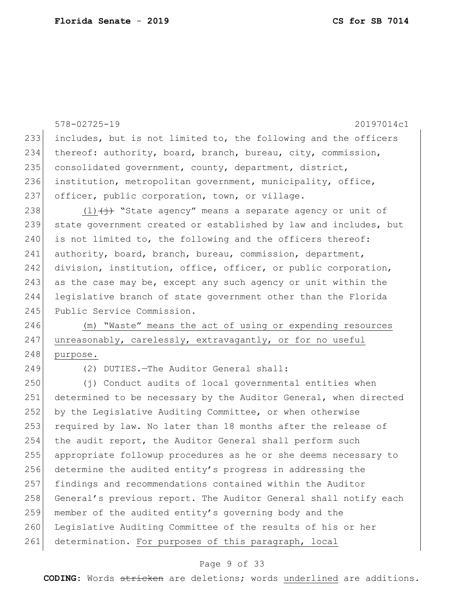|     | $578 - 02725 - 19$<br>20197014c1                                             |
|-----|------------------------------------------------------------------------------|
| 233 | includes, but is not limited to, the following and the officers              |
| 234 | thereof: authority, board, branch, bureau, city, commission,                 |
| 235 | consolidated government, county, department, district,                       |
| 236 | institution, metropolitan government, municipality, office,                  |
| 237 | officer, public corporation, town, or village.                               |
| 238 | $(1)$ $\overrightarrow{1}$ "State agency" means a separate agency or unit of |
| 239 | state government created or established by law and includes, but             |
| 240 | is not limited to, the following and the officers thereof:                   |
| 241 | authority, board, branch, bureau, commission, department,                    |
| 242 | division, institution, office, officer, or public corporation,               |
| 243 | as the case may be, except any such agency or unit within the                |
| 244 | legislative branch of state government other than the Florida                |
| 245 | Public Service Commission.                                                   |
| 246 | (m) "Waste" means the act of using or expending resources                    |
| 247 | unreasonably, carelessly, extravagantly, or for no useful                    |
| 248 | purpose.                                                                     |
| 249 | (2) DUTIES. - The Auditor General shall:                                     |
|     |                                                                              |
| 250 | (j) Conduct audits of local governmental entities when                       |
| 251 | determined to be necessary by the Auditor General, when directed             |
| 252 | by the Legislative Auditing Committee, or when otherwise                     |
| 253 | required by law. No later than 18 months after the release of                |
| 254 | the audit report, the Auditor General shall perform such                     |
| 255 | appropriate followup procedures as he or she deems necessary to              |
| 256 | determine the audited entity's progress in addressing the                    |
| 257 | findings and recommendations contained within the Auditor                    |
| 258 | General's previous report. The Auditor General shall notify each             |
| 259 | member of the audited entity's governing body and the                        |
| 260 | Legislative Auditing Committee of the results of his or her                  |

# Page 9 of 33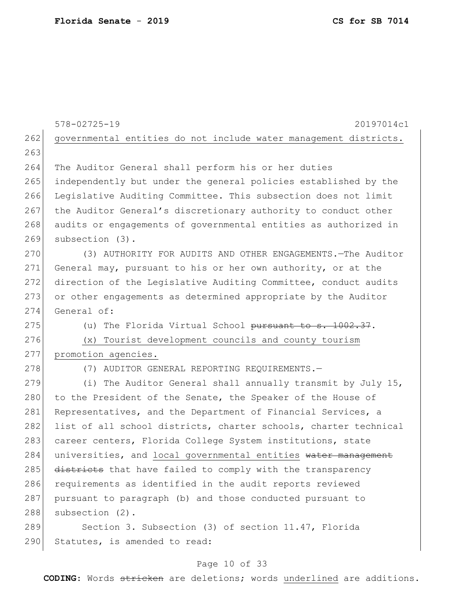|     | $578 - 02725 - 19$<br>20197014c1                                 |
|-----|------------------------------------------------------------------|
| 262 | governmental entities do not include water management districts. |
| 263 |                                                                  |
| 264 | The Auditor General shall perform his or her duties              |
| 265 | independently but under the general policies established by the  |
| 266 | Legislative Auditing Committee. This subsection does not limit   |
| 267 | the Auditor General's discretionary authority to conduct other   |
| 268 | audits or engagements of governmental entities as authorized in  |
| 269 | subsection (3).                                                  |
| 270 | (3) AUTHORITY FOR AUDITS AND OTHER ENGAGEMENTS. - The Auditor    |
| 271 | General may, pursuant to his or her own authority, or at the     |
| 272 | direction of the Legislative Auditing Committee, conduct audits  |
| 273 | or other engagements as determined appropriate by the Auditor    |
| 274 | General of:                                                      |
| 275 | (u) The Florida Virtual School pursuant to s. 1002.37.           |
| 276 | (x) Tourist development councils and county tourism              |
| 277 | promotion agencies.                                              |
| 278 | (7) AUDITOR GENERAL REPORTING REQUIREMENTS.-                     |
| 279 | (i) The Auditor General shall annually transmit by July 15,      |
| 280 | to the President of the Senate, the Speaker of the House of      |
| 281 | Representatives, and the Department of Financial Services, a     |
| 282 | list of all school districts, charter schools, charter technical |
| 283 | career centers, Florida College System institutions, state       |
| 284 | universities, and local governmental entities water management   |
| 285 | districts that have failed to comply with the transparency       |
| 286 | requirements as identified in the audit reports reviewed         |
| 287 | pursuant to paragraph (b) and those conducted pursuant to        |
| 288 | subsection (2).                                                  |
| 289 | Section 3. Subsection (3) of section 11.47, Florida              |
| 290 | Statutes, is amended to read:                                    |

# Page 10 of 33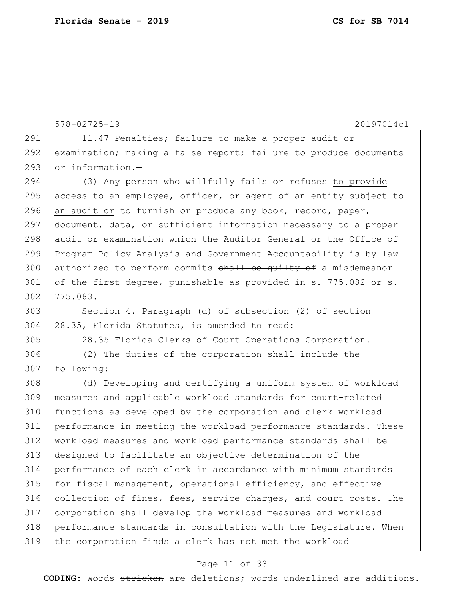578-02725-19 20197014c1 291 11.47 Penalties; failure to make a proper audit or 292 examination; making a false report; failure to produce documents 293 or information.- (3) Any person who willfully fails or refuses to provide 295 access to an employee, officer, or agent of an entity subject to 296 an audit or to furnish or produce any book, record, paper, 297 document, data, or sufficient information necessary to a proper audit or examination which the Auditor General or the Office of Program Policy Analysis and Government Accountability is by law 300 authorized to perform commits shall be guilty of a misdemeanor 301 of the first degree, punishable as provided in s. 775.082 or s. 775.083. Section 4. Paragraph (d) of subsection (2) of section 28.35, Florida Statutes, is amended to read: 28.35 Florida Clerks of Court Operations Corporation.— (2) The duties of the corporation shall include the following: (d) Developing and certifying a uniform system of workload measures and applicable workload standards for court-related functions as developed by the corporation and clerk workload performance in meeting the workload performance standards. These workload measures and workload performance standards shall be designed to facilitate an objective determination of the performance of each clerk in accordance with minimum standards for fiscal management, operational efficiency, and effective collection of fines, fees, service charges, and court costs. The corporation shall develop the workload measures and workload performance standards in consultation with the Legislature. When the corporation finds a clerk has not met the workload

#### Page 11 of 33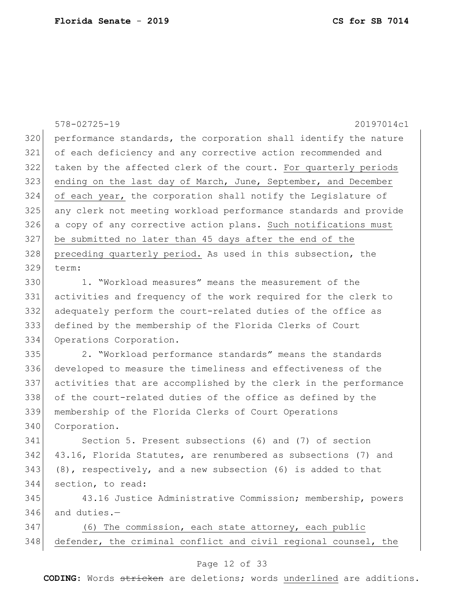578-02725-19 20197014c1 Page 12 of 33 performance standards, the corporation shall identify the nature of each deficiency and any corrective action recommended and taken by the affected clerk of the court. For quarterly periods 323 ending on the last day of March, June, September, and December of each year, the corporation shall notify the Legislature of any clerk not meeting workload performance standards and provide a copy of any corrective action plans. Such notifications must be submitted no later than 45 days after the end of the 328 preceding quarterly period. As used in this subsection, the term: 1. "Workload measures" means the measurement of the activities and frequency of the work required for the clerk to adequately perform the court-related duties of the office as defined by the membership of the Florida Clerks of Court Operations Corporation. 2. "Workload performance standards" means the standards developed to measure the timeliness and effectiveness of the activities that are accomplished by the clerk in the performance of the court-related duties of the office as defined by the membership of the Florida Clerks of Court Operations 340 Corporation. Section 5. Present subsections (6) and (7) of section 342 43.16, Florida Statutes, are renumbered as subsections (7) and (8), respectively, and a new subsection (6) is added to that section, to read: 43.16 Justice Administrative Commission; membership, powers and duties.— 347 (6) The commission, each state attorney, each public defender, the criminal conflict and civil regional counsel, the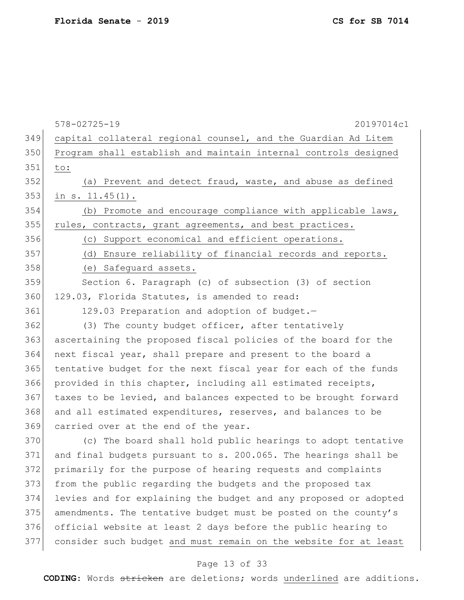|     | $578 - 02725 - 19$<br>20197014c1                                 |
|-----|------------------------------------------------------------------|
| 349 | capital collateral regional counsel, and the Guardian Ad Litem   |
| 350 | Program shall establish and maintain internal controls designed  |
| 351 | to:                                                              |
| 352 | (a) Prevent and detect fraud, waste, and abuse as defined        |
| 353 | in $s. 11.45(1)$ .                                               |
| 354 | (b) Promote and encourage compliance with applicable laws,       |
| 355 | rules, contracts, grant agreements, and best practices.          |
| 356 | (c) Support economical and efficient operations.                 |
| 357 | (d) Ensure reliability of financial records and reports.         |
| 358 | (e) Safeguard assets.                                            |
| 359 | Section 6. Paragraph (c) of subsection (3) of section            |
| 360 | 129.03, Florida Statutes, is amended to read:                    |
| 361 | 129.03 Preparation and adoption of budget.-                      |
| 362 | (3) The county budget officer, after tentatively                 |
| 363 | ascertaining the proposed fiscal policies of the board for the   |
| 364 | next fiscal year, shall prepare and present to the board a       |
| 365 | tentative budget for the next fiscal year for each of the funds  |
| 366 | provided in this chapter, including all estimated receipts,      |
| 367 | taxes to be levied, and balances expected to be brought forward  |
| 368 | and all estimated expenditures, reserves, and balances to be     |
| 369 | carried over at the end of the year.                             |
| 370 | (c) The board shall hold public hearings to adopt tentative      |
| 371 | and final budgets pursuant to s. 200.065. The hearings shall be  |
| 372 | primarily for the purpose of hearing requests and complaints     |
| 373 | from the public regarding the budgets and the proposed tax       |
| 374 | levies and for explaining the budget and any proposed or adopted |
| 375 | amendments. The tentative budget must be posted on the county's  |
| 376 | official website at least 2 days before the public hearing to    |
| 377 | consider such budget and must remain on the website for at least |

# Page 13 of 33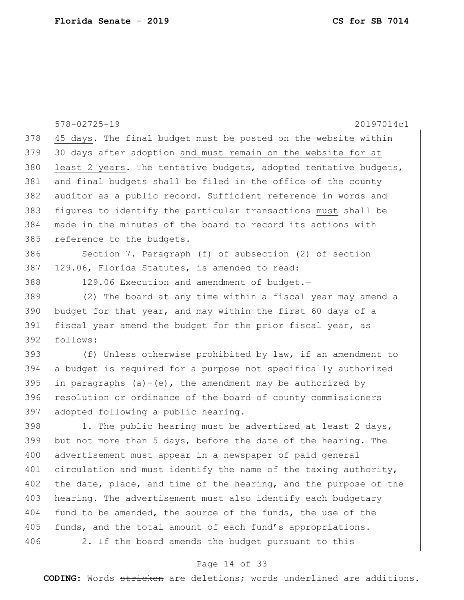|     | 578-02725-19<br>20197014c1                                       |
|-----|------------------------------------------------------------------|
| 378 | 45 days. The final budget must be posted on the website within   |
| 379 | 30 days after adoption and must remain on the website for at     |
| 380 | least 2 years. The tentative budgets, adopted tentative budgets, |
| 381 | and final budgets shall be filed in the office of the county     |
| 382 | auditor as a public record. Sufficient reference in words and    |
| 383 | figures to identify the particular transactions must shall be    |
| 384 | made in the minutes of the board to record its actions with      |
| 385 | reference to the budgets.                                        |
| 386 | Section 7. Paragraph (f) of subsection (2) of section            |
| 387 | 129.06, Florida Statutes, is amended to read:                    |
| 388 | 129.06 Execution and amendment of budget.-                       |
| 389 | (2) The board at any time within a fiscal year may amend a       |
| 390 | budget for that year, and may within the first 60 days of a      |
| 391 | fiscal year amend the budget for the prior fiscal year, as       |
| 392 | follows:                                                         |
| 393 | (f) Unless otherwise prohibited by law, if an amendment to       |
| 394 | a budget is required for a purpose not specifically authorized   |
| 395 | in paragraphs $(a) - (e)$ , the amendment may be authorized by   |
| 396 | resolution or ordinance of the board of county commissioners     |
| 397 | adopted following a public hearing.                              |
| 398 | 1. The public hearing must be advertised at least 2 days,        |
| 399 | but not more than 5 days, before the date of the hearing. The    |
| 400 | advertisement must appear in a newspaper of paid general         |
| 401 | circulation and must identify the name of the taxing authority,  |
| 402 | the date, place, and time of the hearing, and the purpose of the |
| 403 | hearing. The advertisement must also identify each budgetary     |
| 404 | fund to be amended, the source of the funds, the use of the      |
| 405 | funds, and the total amount of each fund's appropriations.       |
| 406 | 2. If the board amends the budget pursuant to this               |

# Page 14 of 33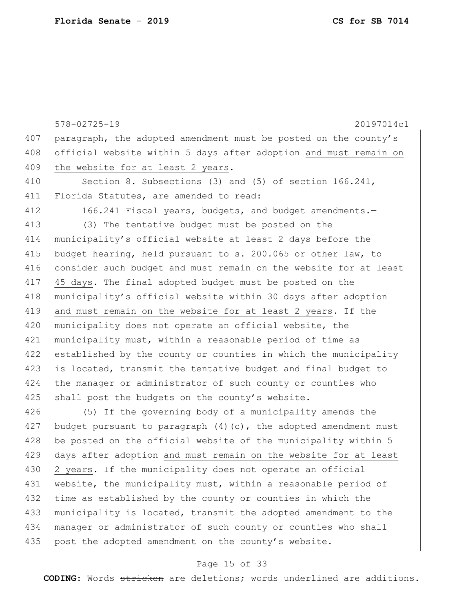578-02725-19 20197014c1 407 paragraph, the adopted amendment must be posted on the county's 408 official website within 5 days after adoption and must remain on 409 the website for at least 2 years. 410 Section 8. Subsections (3) and (5) of section 166.241, 411 Florida Statutes, are amended to read: 412 166.241 Fiscal years, budgets, and budget amendments. 413 (3) The tentative budget must be posted on the 414 municipality's official website at least 2 days before the 415 budget hearing, held pursuant to s. 200.065 or other law, to 416 consider such budget and must remain on the website for at least 417 45 days. The final adopted budget must be posted on the 418 municipality's official website within 30 days after adoption 419 and must remain on the website for at least 2 years. If the 420 municipality does not operate an official website, the 421 municipality must, within a reasonable period of time as 422 established by the county or counties in which the municipality 423 is located, transmit the tentative budget and final budget to 424 the manager or administrator of such county or counties who

426 (5) If the governing body of a municipality amends the 427 budget pursuant to paragraph  $(4)$  (c), the adopted amendment must 428 be posted on the official website of the municipality within 5 429 days after adoption and must remain on the website for at least 430 2 years. If the municipality does not operate an official 431 website, the municipality must, within a reasonable period of 432 time as established by the county or counties in which the 433 municipality is located, transmit the adopted amendment to the 434 manager or administrator of such county or counties who shall 435 post the adopted amendment on the county's website.

425 shall post the budgets on the county's website.

#### Page 15 of 33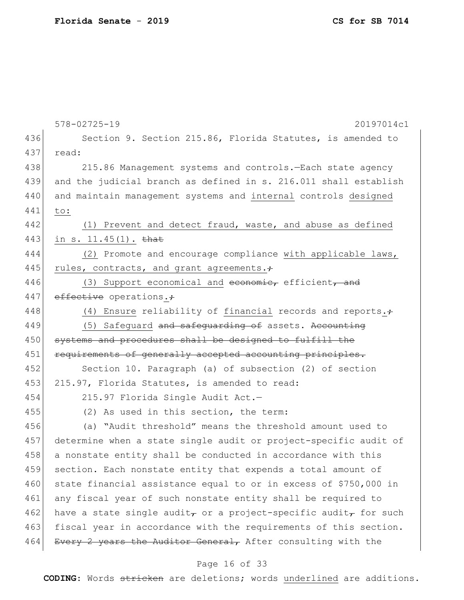|     | $578 - 02725 - 19$<br>20197014c1                                                         |
|-----|------------------------------------------------------------------------------------------|
| 436 | Section 9. Section 215.86, Florida Statutes, is amended to                               |
| 437 | read:                                                                                    |
| 438 | 215.86 Management systems and controls. - Each state agency                              |
| 439 | and the judicial branch as defined in s. 216.011 shall establish                         |
| 440 | and maintain management systems and internal controls designed                           |
| 441 | to:                                                                                      |
| 442 | (1) Prevent and detect fraud, waste, and abuse as defined                                |
| 443 | in s. $11.45(1)$ . that                                                                  |
| 444 | (2) Promote and encourage compliance with applicable laws,                               |
| 445 | rules, contracts, and grant agreements.;                                                 |
| 446 | (3) Support economical and economie, efficient, and                                      |
| 447 | effective operations.+                                                                   |
| 448 | (4) Ensure reliability of financial records and reports. $\div$                          |
| 449 | (5) Safequard and safequarding of assets. Accounting                                     |
| 450 | systems and procedures shall be designed to fulfill the                                  |
| 451 | requirements of generally accepted accounting principles.                                |
| 452 | Section 10. Paragraph (a) of subsection (2) of section                                   |
| 453 | 215.97, Florida Statutes, is amended to read:                                            |
| 454 | 215.97 Florida Single Audit Act.-                                                        |
| 455 | (2) As used in this section, the term:                                                   |
| 456 | (a) "Audit threshold" means the threshold amount used to                                 |
| 457 | determine when a state single audit or project-specific audit of                         |
| 458 | a nonstate entity shall be conducted in accordance with this                             |
| 459 | section. Each nonstate entity that expends a total amount of                             |
| 460 | state financial assistance equal to or in excess of \$750,000 in                         |
| 461 | any fiscal year of such nonstate entity shall be required to                             |
| 462 | have a state single audit <sub>r</sub> or a project-specific audit <sub>r</sub> for such |
| 463 | fiscal year in accordance with the requirements of this section.                         |
| 464 | Every 2 years the Auditor General, After consulting with the                             |
|     | Page 16 of 33                                                                            |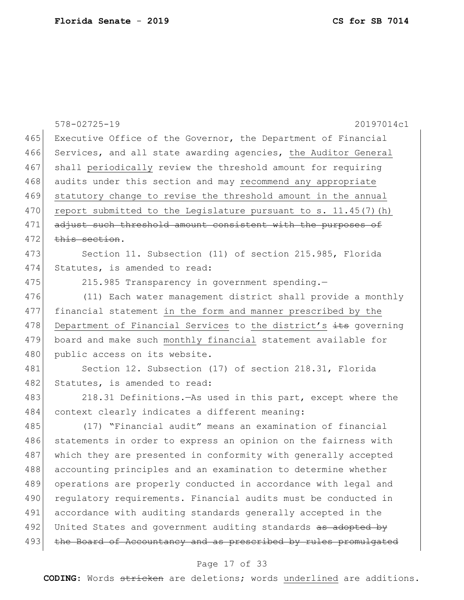|     | $578 - 02725 - 19$<br>20197014c1                                  |
|-----|-------------------------------------------------------------------|
| 465 | Executive Office of the Governor, the Department of Financial     |
| 466 | Services, and all state awarding agencies, the Auditor General    |
| 467 | shall periodically review the threshold amount for requiring      |
| 468 | audits under this section and may recommend any appropriate       |
| 469 | statutory change to revise the threshold amount in the annual     |
| 470 | report submitted to the Legislature pursuant to s. $11.45(7)$ (h) |
| 471 | adjust such threshold amount consistent with the purposes of      |
| 472 | this section.                                                     |
| 473 | Section 11. Subsection (11) of section 215.985, Florida           |
| 474 | Statutes, is amended to read:                                     |
| 475 | 215.985 Transparency in government spending.-                     |
| 476 | (11) Each water management district shall provide a monthly       |
| 477 | financial statement in the form and manner prescribed by the      |
| 478 | Department of Financial Services to the district's its governing  |
| 479 | board and make such monthly financial statement available for     |
| 480 | public access on its website.                                     |
| 481 | Section 12. Subsection (17) of section 218.31, Florida            |
| 482 | Statutes, is amended to read:                                     |
| 483 | 218.31 Definitions. As used in this part, except where the        |
| 484 | context clearly indicates a different meaning:                    |
| 485 | (17) "Financial audit" means an examination of financial          |
| 486 | statements in order to express an opinion on the fairness with    |
| 487 | which they are presented in conformity with generally accepted    |
| 488 | accounting principles and an examination to determine whether     |
| 489 | operations are properly conducted in accordance with legal and    |
| 490 | regulatory requirements. Financial audits must be conducted in    |
| 491 | accordance with auditing standards generally accepted in the      |
| 492 | United States and government auditing standards as adopted by     |
| 493 | the Board of Accountancy and as prescribed by rules promulgated   |

# Page 17 of 33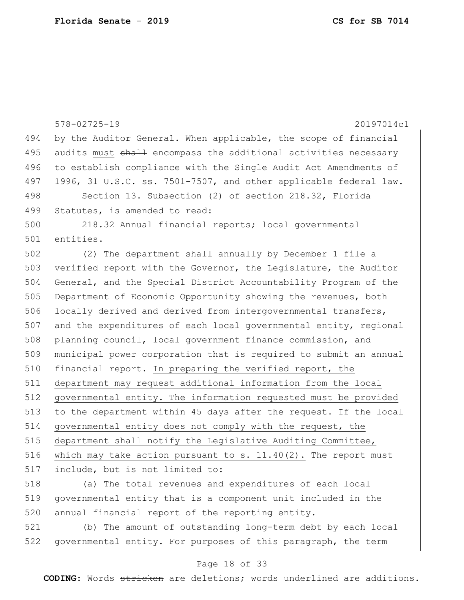578-02725-19 20197014c1 494 by the Auditor General. When applicable, the scope of financial 495 audits must shall encompass the additional activities necessary 496 to establish compliance with the Single Audit Act Amendments of 497 1996, 31 U.S.C. ss. 7501-7507, and other applicable federal law. 498 Section 13. Subsection (2) of section 218.32, Florida 499 Statutes, is amended to read: 500 218.32 Annual financial reports; local governmental 501 entities.— 502 (2) The department shall annually by December 1 file a 503 verified report with the Governor, the Legislature, the Auditor 504 General, and the Special District Accountability Program of the 505 Department of Economic Opportunity showing the revenues, both 506 locally derived and derived from intergovernmental transfers, 507 and the expenditures of each local governmental entity, regional 508 planning council, local government finance commission, and 509 municipal power corporation that is required to submit an annual 510 financial report. In preparing the verified report, the 511 department may request additional information from the local 512 governmental entity. The information requested must be provided 513 to the department within 45 days after the request. If the local 514 governmental entity does not comply with the request, the 515 department shall notify the Legislative Auditing Committee, 516 which may take action pursuant to s.  $11.40(2)$ . The report must 517 include, but is not limited to: 518 (a) The total revenues and expenditures of each local

519 governmental entity that is a component unit included in the 520 annual financial report of the reporting entity.

521 (b) The amount of outstanding long-term debt by each local 522 governmental entity. For purposes of this paragraph, the term

#### Page 18 of 33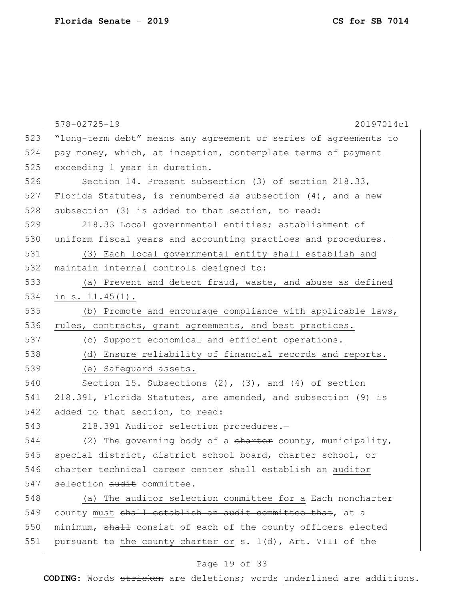|     | $578 - 02725 - 19$<br>20197014c1                                |
|-----|-----------------------------------------------------------------|
| 523 | "long-term debt" means any agreement or series of agreements to |
| 524 | pay money, which, at inception, contemplate terms of payment    |
| 525 | exceeding 1 year in duration.                                   |
| 526 | Section 14. Present subsection (3) of section 218.33,           |
| 527 | Florida Statutes, is renumbered as subsection $(4)$ , and a new |
| 528 | subsection (3) is added to that section, to read:               |
| 529 | 218.33 Local governmental entities; establishment of            |
| 530 | uniform fiscal years and accounting practices and procedures.-  |
| 531 | (3) Each local governmental entity shall establish and          |
| 532 | maintain internal controls designed to:                         |
| 533 | (a) Prevent and detect fraud, waste, and abuse as defined       |
| 534 | in $s. 11.45(1)$ .                                              |
| 535 | (b) Promote and encourage compliance with applicable laws,      |
| 536 | rules, contracts, grant agreements, and best practices.         |
| 537 | (c) Support economical and efficient operations.                |
| 538 | (d) Ensure reliability of financial records and reports.        |
| 539 | (e) Safeguard assets.                                           |
| 540 | Section 15. Subsections $(2)$ , $(3)$ , and $(4)$ of section    |
| 541 | 218.391, Florida Statutes, are amended, and subsection (9) is   |
| 542 | added to that section, to read:                                 |
| 543 | 218.391 Auditor selection procedures.-                          |
| 544 | (2) The governing body of a charter county, municipality,       |
| 545 | special district, district school board, charter school, or     |
| 546 | charter technical career center shall establish an auditor      |
| 547 | selection audit committee.                                      |
| 548 | (a) The auditor selection committee for a Each noncharter       |
| 549 | county must shall establish an audit committee that, at a       |
| 550 | minimum, shall consist of each of the county officers elected   |
| 551 | pursuant to the county charter or s. $1(d)$ , Art. VIII of the  |

# Page 19 of 33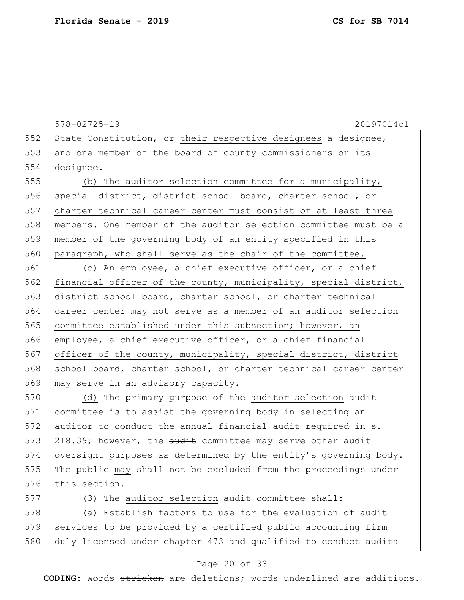578-02725-19 20197014c1 552 State Constitution, or their respective designees a designee, 553 and one member of the board of county commissioners or its 554 designee. 555 (b) The auditor selection committee for a municipality, 556 special district, district school board, charter school, or 557 charter technical career center must consist of at least three 558 members. One member of the auditor selection committee must be a 559 member of the governing body of an entity specified in this 560 paragraph, who shall serve as the chair of the committee. 561 (c) An employee, a chief executive officer, or a chief 562 financial officer of the county, municipality, special district, 563 district school board, charter school, or charter technical 564 career center may not serve as a member of an auditor selection 565 committee established under this subsection; however, an

566 employee, a chief executive officer, or a chief financial 567 officer of the county, municipality, special district, district 568 school board, charter school, or charter technical career center 569 may serve in an advisory capacity.

570 (d) The primary purpose of the auditor selection audit 571 committee is to assist the governing body in selecting an 572 auditor to conduct the annual financial audit required in s. 573 218.39; however, the audit committee may serve other audit 574 oversight purposes as determined by the entity's governing body. 575 The public may  $shath$  not be excluded from the proceedings under 576 this section.

577 (3) The auditor selection audit committee shall:

578 (a) Establish factors to use for the evaluation of audit 579 services to be provided by a certified public accounting firm 580 duly licensed under chapter 473 and qualified to conduct audits

#### Page 20 of 33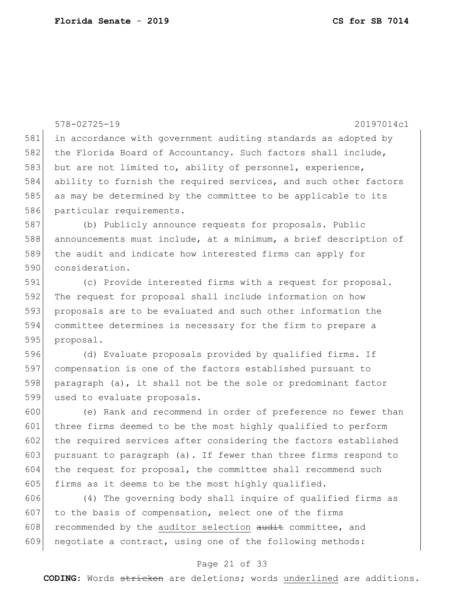|     | $578 - 02725 - 19$<br>20197014c1                                 |
|-----|------------------------------------------------------------------|
| 581 | in accordance with government auditing standards as adopted by   |
| 582 | the Florida Board of Accountancy. Such factors shall include,    |
| 583 | but are not limited to, ability of personnel, experience,        |
| 584 | ability to furnish the required services, and such other factors |
| 585 | as may be determined by the committee to be applicable to its    |
| 586 | particular requirements.                                         |
| 587 | (b) Publicly announce requests for proposals. Public             |
| 588 | announcements must include, at a minimum, a brief description of |
| 589 | the audit and indicate how interested firms can apply for        |
| 590 | consideration.                                                   |
| 591 | (c) Provide interested firms with a request for proposal.        |
| 592 | The request for proposal shall include information on how        |
| 593 | proposals are to be evaluated and such other information the     |
| 594 | committee determines is necessary for the firm to prepare a      |
| 595 | proposal.                                                        |
| 596 | (d) Evaluate proposals provided by qualified firms. If           |
| 597 | compensation is one of the factors established pursuant to       |
| 598 | paragraph (a), it shall not be the sole or predominant factor    |
| 599 | used to evaluate proposals.                                      |
| 600 | (e) Rank and recommend in order of preference no fewer than      |
| 601 | three firms deemed to be the most highly qualified to perform    |
| 602 | the required services after considering the factors established  |
| 603 | pursuant to paragraph (a). If fewer than three firms respond to  |
| 604 | the request for proposal, the committee shall recommend such     |
| 605 | firms as it deems to be the most highly qualified.               |
| 606 | (4) The governing body shall inquire of qualified firms as       |
| 607 | to the basis of compensation, select one of the firms            |
| 608 | recommended by the auditor selection audit committee, and        |

### Page 21 of 33

negotiate a contract, using one of the following methods: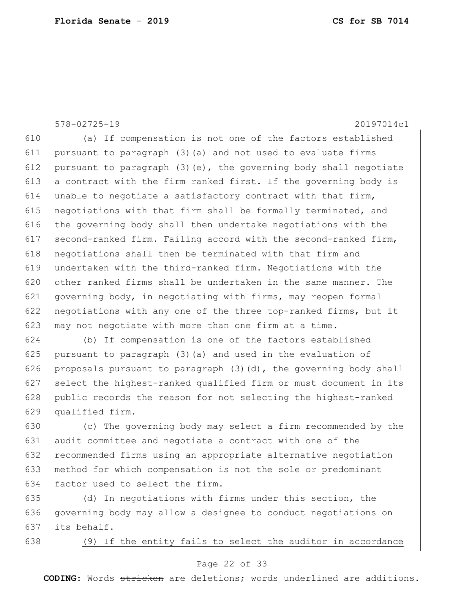578-02725-19 20197014c1

610 (a) If compensation is not one of the factors established 611 pursuant to paragraph (3)(a) and not used to evaluate firms 612 pursuant to paragraph  $(3)(e)$ , the governing body shall negotiate 613 a contract with the firm ranked first. If the governing body is 614 unable to negotiate a satisfactory contract with that firm, 615 negotiations with that firm shall be formally terminated, and 616 the governing body shall then undertake negotiations with the 617 second-ranked firm. Failing accord with the second-ranked firm, 618 negotiations shall then be terminated with that firm and 619 undertaken with the third-ranked firm. Negotiations with the 620 other ranked firms shall be undertaken in the same manner. The 621 governing body, in negotiating with firms, may reopen formal 622 negotiations with any one of the three top-ranked firms, but it 623 may not negotiate with more than one firm at a time.

624 (b) If compensation is one of the factors established 625 pursuant to paragraph  $(3)(a)$  and used in the evaluation of 626 proposals pursuant to paragraph  $(3)(d)$ , the governing body shall 627 select the highest-ranked qualified firm or must document in its 628 public records the reason for not selecting the highest-ranked 629 qualified firm.

630 (c) The governing body may select a firm recommended by the 631 audit committee and negotiate a contract with one of the 632 recommended firms using an appropriate alternative negotiation 633 method for which compensation is not the sole or predominant 634 factor used to select the firm.

635 (d) In negotiations with firms under this section, the 636 governing body may allow a designee to conduct negotiations on 637 its behalf.

638 (9) If the entity fails to select the auditor in accordance

### Page 22 of 33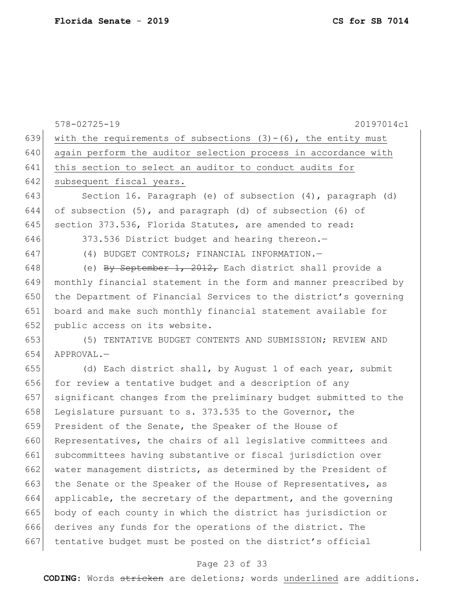578-02725-19 20197014c1 639 with the requirements of subsections  $(3)-(6)$ , the entity must 640 again perform the auditor selection process in accordance with 641 this section to select an auditor to conduct audits for 642 subsequent fiscal years. 643 Section 16. Paragraph (e) of subsection (4), paragraph (d) 644 of subsection  $(5)$ , and paragraph  $(d)$  of subsection  $(6)$  of 645 section 373.536, Florida Statutes, are amended to read: 646 373.536 District budget and hearing thereon. 647 (4) BUDGET CONTROLS; FINANCIAL INFORMATION.— 648 (e) By September 1, 2012, Each district shall provide a 649 monthly financial statement in the form and manner prescribed by 650 the Department of Financial Services to the district's governing 651 board and make such monthly financial statement available for 652 public access on its website. 653 (5) TENTATIVE BUDGET CONTENTS AND SUBMISSION; REVIEW AND 654 APPROVAL.— 655 (d) Each district shall, by August 1 of each year, submit 656 for review a tentative budget and a description of any 657 significant changes from the preliminary budget submitted to the 658 Legislature pursuant to s. 373.535 to the Governor, the 659 President of the Senate, the Speaker of the House of 660 Representatives, the chairs of all legislative committees and 661 subcommittees having substantive or fiscal jurisdiction over 662 water management districts, as determined by the President of 663 the Senate or the Speaker of the House of Representatives, as 664 applicable, the secretary of the department, and the governing 665 body of each county in which the district has jurisdiction or 666 derives any funds for the operations of the district. The 667 tentative budget must be posted on the district's official

### Page 23 of 33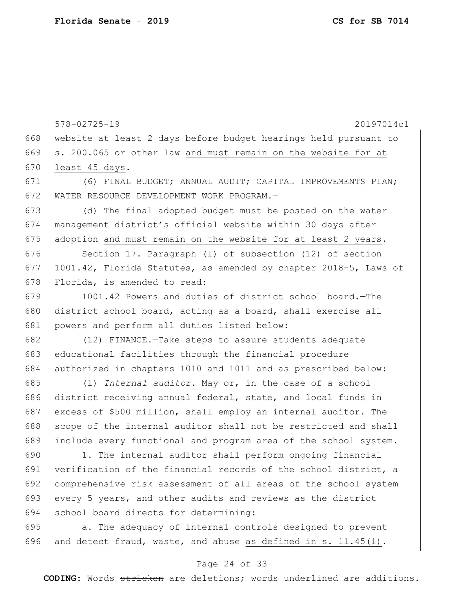578-02725-19 20197014c1 website at least 2 days before budget hearings held pursuant to s. 200.065 or other law and must remain on the website for at least 45 days. (6) FINAL BUDGET; ANNUAL AUDIT; CAPITAL IMPROVEMENTS PLAN; WATER RESOURCE DEVELOPMENT WORK PROGRAM.— (d) The final adopted budget must be posted on the water management district's official website within 30 days after 675 adoption and must remain on the website for at least 2 years. 676 Section 17. Paragraph (1) of subsection (12) of section 1001.42, Florida Statutes, as amended by chapter 2018-5, Laws of 678 Florida, is amended to read: 679 1001.42 Powers and duties of district school board.—The 680 district school board, acting as a board, shall exercise all 681 powers and perform all duties listed below: (12) FINANCE.—Take steps to assure students adequate educational facilities through the financial procedure authorized in chapters 1010 and 1011 and as prescribed below: (l) *Internal auditor.*—May or, in the case of a school district receiving annual federal, state, and local funds in 687 excess of \$500 million, shall employ an internal auditor. The 688 scope of the internal auditor shall not be restricted and shall include every functional and program area of the school system. 1. The internal auditor shall perform ongoing financial verification of the financial records of the school district, a comprehensive risk assessment of all areas of the school system every 5 years, and other audits and reviews as the district 694 school board directs for determining: **a.** The adequacy of internal controls designed to prevent 696 and detect fraud, waste, and abuse as defined in s.  $11.45(1)$ .

#### Page 24 of 33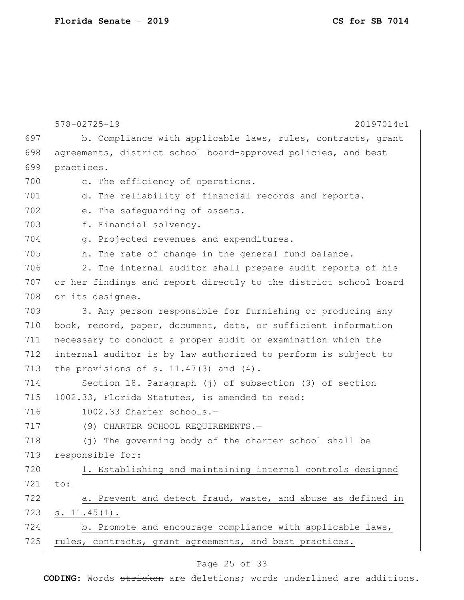**Florida Senate** - **2019 CS for SB 7014**

|     | $578 - 02725 - 19$<br>20197014c1                                 |  |  |  |  |  |  |  |  |
|-----|------------------------------------------------------------------|--|--|--|--|--|--|--|--|
| 697 | b. Compliance with applicable laws, rules, contracts, grant      |  |  |  |  |  |  |  |  |
| 698 | agreements, district school board-approved policies, and best    |  |  |  |  |  |  |  |  |
| 699 | practices.                                                       |  |  |  |  |  |  |  |  |
| 700 | c. The efficiency of operations.                                 |  |  |  |  |  |  |  |  |
| 701 | d. The reliability of financial records and reports.             |  |  |  |  |  |  |  |  |
| 702 | e. The safequarding of assets.                                   |  |  |  |  |  |  |  |  |
| 703 | f. Financial solvency.                                           |  |  |  |  |  |  |  |  |
| 704 | g. Projected revenues and expenditures.                          |  |  |  |  |  |  |  |  |
| 705 | h. The rate of change in the general fund balance.               |  |  |  |  |  |  |  |  |
| 706 | 2. The internal auditor shall prepare audit reports of his       |  |  |  |  |  |  |  |  |
| 707 | or her findings and report directly to the district school board |  |  |  |  |  |  |  |  |
| 708 | or its designee.                                                 |  |  |  |  |  |  |  |  |
| 709 | 3. Any person responsible for furnishing or producing any        |  |  |  |  |  |  |  |  |
| 710 | book, record, paper, document, data, or sufficient information   |  |  |  |  |  |  |  |  |
| 711 | necessary to conduct a proper audit or examination which the     |  |  |  |  |  |  |  |  |
| 712 | internal auditor is by law authorized to perform is subject to   |  |  |  |  |  |  |  |  |
| 713 | the provisions of s. $11.47(3)$ and $(4)$ .                      |  |  |  |  |  |  |  |  |
| 714 | Section 18. Paragraph (j) of subsection (9) of section           |  |  |  |  |  |  |  |  |
| 715 | 1002.33, Florida Statutes, is amended to read:                   |  |  |  |  |  |  |  |  |
| 716 | 1002.33 Charter schools.-                                        |  |  |  |  |  |  |  |  |
| 717 | (9) CHARTER SCHOOL REQUIREMENTS.-                                |  |  |  |  |  |  |  |  |
| 718 | (j) The governing body of the charter school shall be            |  |  |  |  |  |  |  |  |
| 719 | responsible for:                                                 |  |  |  |  |  |  |  |  |
| 720 | 1. Establishing and maintaining internal controls designed       |  |  |  |  |  |  |  |  |
| 721 | to:                                                              |  |  |  |  |  |  |  |  |
| 722 | a. Prevent and detect fraud, waste, and abuse as defined in      |  |  |  |  |  |  |  |  |
| 723 | s. $11.45(1)$ .                                                  |  |  |  |  |  |  |  |  |
| 724 | b. Promote and encourage compliance with applicable laws,        |  |  |  |  |  |  |  |  |
| 725 | rules, contracts, grant agreements, and best practices.          |  |  |  |  |  |  |  |  |
|     |                                                                  |  |  |  |  |  |  |  |  |

# Page 25 of 33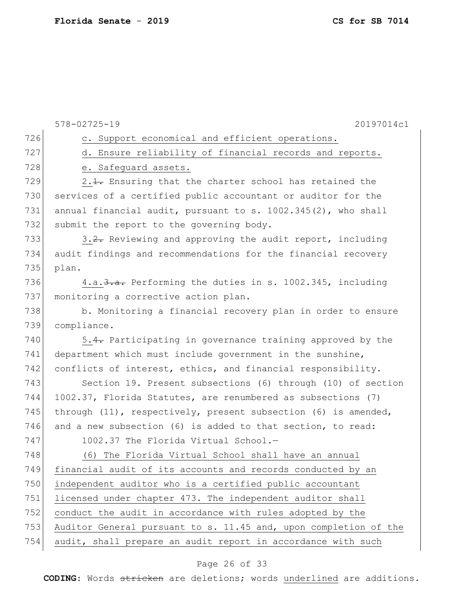|     | $578 - 02725 - 19$<br>20197014c1                                    |  |  |  |  |  |  |  |  |
|-----|---------------------------------------------------------------------|--|--|--|--|--|--|--|--|
| 726 | c. Support economical and efficient operations.                     |  |  |  |  |  |  |  |  |
| 727 | d. Ensure reliability of financial records and reports.             |  |  |  |  |  |  |  |  |
| 728 | e. Safeguard assets.                                                |  |  |  |  |  |  |  |  |
| 729 | 2.1. Ensuring that the charter school has retained the              |  |  |  |  |  |  |  |  |
| 730 | services of a certified public accountant or auditor for the        |  |  |  |  |  |  |  |  |
| 731 | annual financial audit, pursuant to s. 1002.345(2), who shall       |  |  |  |  |  |  |  |  |
| 732 | submit the report to the governing body.                            |  |  |  |  |  |  |  |  |
| 733 | 3.2. Reviewing and approving the audit report, including            |  |  |  |  |  |  |  |  |
| 734 | audit findings and recommendations for the financial recovery       |  |  |  |  |  |  |  |  |
| 735 | plan.                                                               |  |  |  |  |  |  |  |  |
| 736 | 4.a. 3. a. Performing the duties in s. 1002.345, including          |  |  |  |  |  |  |  |  |
| 737 | monitoring a corrective action plan.                                |  |  |  |  |  |  |  |  |
| 738 | b. Monitoring a financial recovery plan in order to ensure          |  |  |  |  |  |  |  |  |
| 739 | compliance.                                                         |  |  |  |  |  |  |  |  |
| 740 | 5.4. Participating in governance training approved by the           |  |  |  |  |  |  |  |  |
| 741 | department which must include government in the sunshine,           |  |  |  |  |  |  |  |  |
| 742 | conflicts of interest, ethics, and financial responsibility.        |  |  |  |  |  |  |  |  |
| 743 | Section 19. Present subsections (6) through (10) of section         |  |  |  |  |  |  |  |  |
| 744 | 1002.37, Florida Statutes, are renumbered as subsections (7)        |  |  |  |  |  |  |  |  |
| 745 | through $(11)$ , respectively, present subsection $(6)$ is amended, |  |  |  |  |  |  |  |  |
| 746 | and a new subsection (6) is added to that section, to read:         |  |  |  |  |  |  |  |  |
| 747 | 1002.37 The Florida Virtual School.-                                |  |  |  |  |  |  |  |  |
| 748 | (6) The Florida Virtual School shall have an annual                 |  |  |  |  |  |  |  |  |
| 749 | financial audit of its accounts and records conducted by an         |  |  |  |  |  |  |  |  |
| 750 | independent auditor who is a certified public accountant            |  |  |  |  |  |  |  |  |
| 751 | licensed under chapter 473. The independent auditor shall           |  |  |  |  |  |  |  |  |
| 752 | conduct the audit in accordance with rules adopted by the           |  |  |  |  |  |  |  |  |
| 753 | Auditor General pursuant to s. 11.45 and, upon completion of the    |  |  |  |  |  |  |  |  |
| 754 | audit, shall prepare an audit report in accordance with such        |  |  |  |  |  |  |  |  |

# Page 26 of 33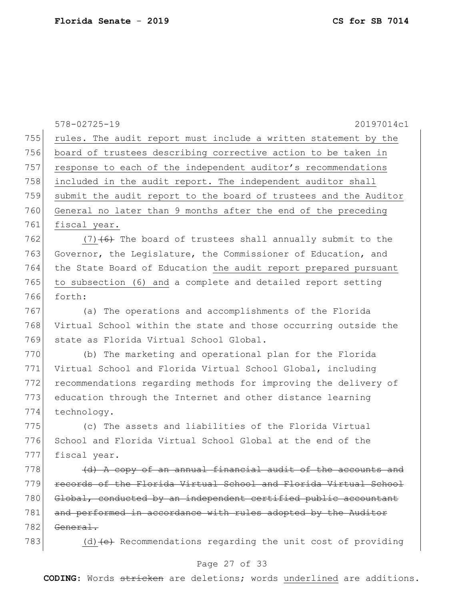578-02725-19 20197014c1 755 rules. The audit report must include a written statement by the 756 board of trustees describing corrective action to be taken in 757 response to each of the independent auditor's recommendations 758 included in the audit report. The independent auditor shall 759 submit the audit report to the board of trustees and the Auditor 760 General no later than 9 months after the end of the preceding 761 fiscal year. 762 (7) $(6)$  The board of trustees shall annually submit to the 763 Governor, the Legislature, the Commissioner of Education, and 764 the State Board of Education the audit report prepared pursuant 765 to subsection (6) and a complete and detailed report setting 766 forth: 767 (a) The operations and accomplishments of the Florida 768 Virtual School within the state and those occurring outside the 769 state as Florida Virtual School Global. 770 (b) The marketing and operational plan for the Florida 771 Virtual School and Florida Virtual School Global, including 772 recommendations regarding methods for improving the delivery of 773 education through the Internet and other distance learning 774 technology. 775 (c) The assets and liabilities of the Florida Virtual 776 School and Florida Virtual School Global at the end of the 777 fiscal year.  $778$  (d) A copy of an annual financial audit of the accounts and 779 records of the Florida Virtual School and Florida Virtual School 780 Global, conducted by an independent certified public accountant 781 and performed in accordance with rules adopted by the Auditor  $782$  General. 783 (d) (e) Recommendations regarding the unit cost of providing

#### Page 27 of 33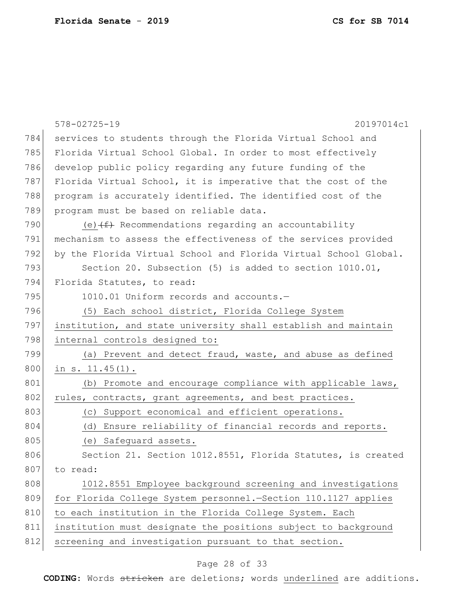|     | $578 - 02725 - 19$<br>20197014c1                                 |  |  |  |  |  |  |  |  |
|-----|------------------------------------------------------------------|--|--|--|--|--|--|--|--|
| 784 | services to students through the Florida Virtual School and      |  |  |  |  |  |  |  |  |
| 785 | Florida Virtual School Global. In order to most effectively      |  |  |  |  |  |  |  |  |
| 786 | develop public policy regarding any future funding of the        |  |  |  |  |  |  |  |  |
| 787 | Florida Virtual School, it is imperative that the cost of the    |  |  |  |  |  |  |  |  |
| 788 | program is accurately identified. The identified cost of the     |  |  |  |  |  |  |  |  |
| 789 | program must be based on reliable data.                          |  |  |  |  |  |  |  |  |
| 790 | (e) $(f)$ Recommendations regarding an accountability            |  |  |  |  |  |  |  |  |
| 791 | mechanism to assess the effectiveness of the services provided   |  |  |  |  |  |  |  |  |
| 792 | by the Florida Virtual School and Florida Virtual School Global. |  |  |  |  |  |  |  |  |
| 793 | Section 20. Subsection (5) is added to section 1010.01,          |  |  |  |  |  |  |  |  |
| 794 | Florida Statutes, to read:                                       |  |  |  |  |  |  |  |  |
| 795 | 1010.01 Uniform records and accounts.-                           |  |  |  |  |  |  |  |  |
| 796 | (5) Each school district, Florida College System                 |  |  |  |  |  |  |  |  |
| 797 | institution, and state university shall establish and maintain   |  |  |  |  |  |  |  |  |
| 798 | internal controls designed to:                                   |  |  |  |  |  |  |  |  |
| 799 | (a) Prevent and detect fraud, waste, and abuse as defined        |  |  |  |  |  |  |  |  |
| 800 | in $s. 11.45(1)$ .                                               |  |  |  |  |  |  |  |  |
| 801 | (b) Promote and encourage compliance with applicable laws,       |  |  |  |  |  |  |  |  |
| 802 | rules, contracts, grant agreements, and best practices.          |  |  |  |  |  |  |  |  |
| 803 | (c) Support economical and efficient operations.                 |  |  |  |  |  |  |  |  |
| 804 | (d) Ensure reliability of financial records and reports.         |  |  |  |  |  |  |  |  |
| 805 | (e) Safequard assets.                                            |  |  |  |  |  |  |  |  |
| 806 | Section 21. Section 1012.8551, Florida Statutes, is created      |  |  |  |  |  |  |  |  |
| 807 | to read:                                                         |  |  |  |  |  |  |  |  |
| 808 | 1012.8551 Employee background screening and investigations       |  |  |  |  |  |  |  |  |
| 809 | for Florida College System personnel.-Section 110.1127 applies   |  |  |  |  |  |  |  |  |
| 810 | to each institution in the Florida College System. Each          |  |  |  |  |  |  |  |  |
| 811 | institution must designate the positions subject to background   |  |  |  |  |  |  |  |  |
| 812 | screening and investigation pursuant to that section.            |  |  |  |  |  |  |  |  |

# Page 28 of 33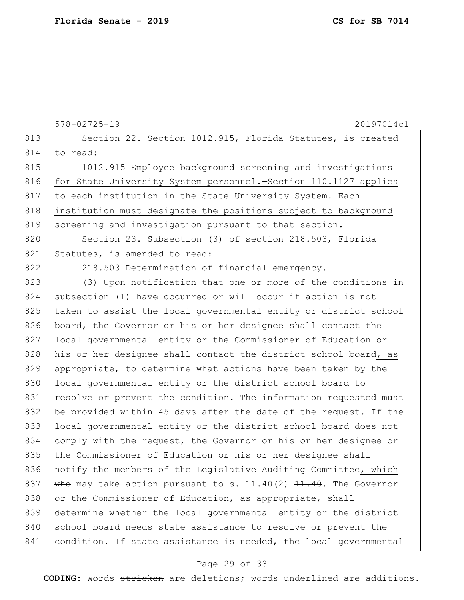578-02725-19 20197014c1 813 Section 22. Section 1012.915, Florida Statutes, is created 814 to read: 815 1012.915 Employee background screening and investigations 816 for State University System personnel. - Section 110.1127 applies 817 to each institution in the State University System. Each 818 institution must designate the positions subject to background 819 screening and investigation pursuant to that section. 820 Section 23. Subsection (3) of section 218.503, Florida 821 Statutes, is amended to read: 822 218.503 Determination of financial emergency. 823 (3) Upon notification that one or more of the conditions in 824 subsection (1) have occurred or will occur if action is not 825 taken to assist the local governmental entity or district school 826 board, the Governor or his or her designee shall contact the 827 local governmental entity or the Commissioner of Education or 828 his or her designee shall contact the district school board, as 829 appropriate, to determine what actions have been taken by the 830 local governmental entity or the district school board to 831 resolve or prevent the condition. The information requested must 832 be provided within 45 days after the date of the request. If the 833 local governmental entity or the district school board does not 834 comply with the request, the Governor or his or her designee or 835 the Commissioner of Education or his or her designee shall 836 notify the members of the Legislative Auditing Committee, which 837 who may take action pursuant to s.  $11.40(2)$   $11.40$ . The Governor 838 or the Commissioner of Education, as appropriate, shall 839 determine whether the local governmental entity or the district 840 school board needs state assistance to resolve or prevent the 841 condition. If state assistance is needed, the local governmental

### Page 29 of 33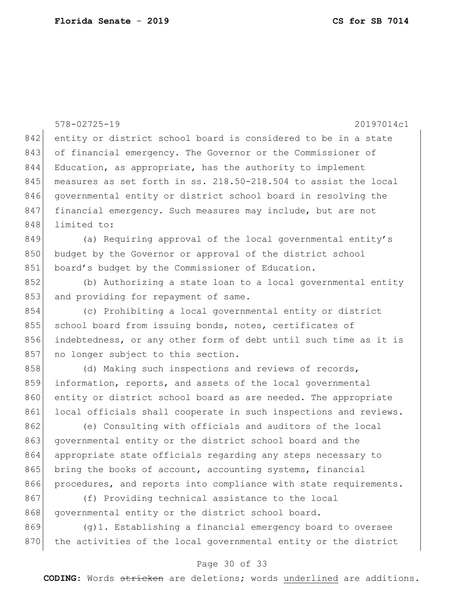578-02725-19 20197014c1 842 entity or district school board is considered to be in a state 843 of financial emergency. The Governor or the Commissioner of 844 Education, as appropriate, has the authority to implement 845 measures as set forth in ss. 218.50-218.504 to assist the local 846 governmental entity or district school board in resolving the 847 financial emergency. Such measures may include, but are not 848 limited to: 849 (a) Requiring approval of the local governmental entity's 850 budget by the Governor or approval of the district school 851 board's budget by the Commissioner of Education. 852 (b) Authorizing a state loan to a local governmental entity 853 and providing for repayment of same. 854 (c) Prohibiting a local governmental entity or district 855 school board from issuing bonds, notes, certificates of 856 indebtedness, or any other form of debt until such time as it is 857 no longer subject to this section. 858 (d) Making such inspections and reviews of records, 859 information, reports, and assets of the local governmental 860 entity or district school board as are needed. The appropriate 861 local officials shall cooperate in such inspections and reviews. 862 (e) Consulting with officials and auditors of the local 863 governmental entity or the district school board and the 864 appropriate state officials regarding any steps necessary to 865 bring the books of account, accounting systems, financial 866 procedures, and reports into compliance with state requirements. 867 (f) Providing technical assistance to the local 868 governmental entity or the district school board.

869 (g)1. Establishing a financial emergency board to oversee 870 the activities of the local governmental entity or the district

### Page 30 of 33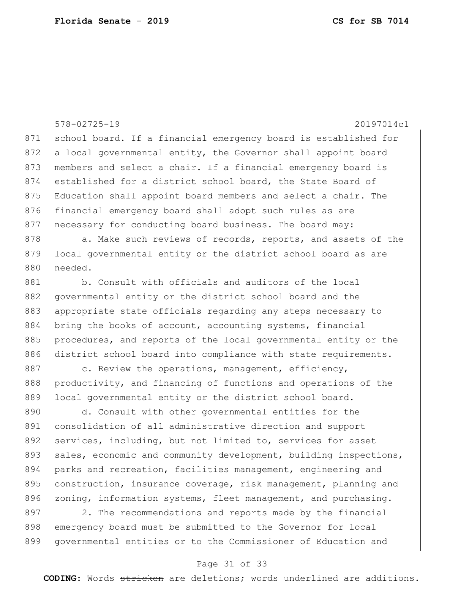578-02725-19 20197014c1 871 school board. If a financial emergency board is established for 872 a local governmental entity, the Governor shall appoint board 873 members and select a chair. If a financial emergency board is 874 established for a district school board, the State Board of 875 Education shall appoint board members and select a chair. The 876 financial emergency board shall adopt such rules as are 877 | necessary for conducting board business. The board may: 878 a. Make such reviews of records, reports, and assets of the

879 local governmental entity or the district school board as are 880 needed.

881 b. Consult with officials and auditors of the local 882 governmental entity or the district school board and the 883 appropriate state officials regarding any steps necessary to 884 bring the books of account, accounting systems, financial 885 procedures, and reports of the local governmental entity or the 886 district school board into compliance with state requirements.

887 c. Review the operations, management, efficiency, 888 productivity, and financing of functions and operations of the 889 local governmental entity or the district school board.

890 d. Consult with other governmental entities for the 891 consolidation of all administrative direction and support 892 services, including, but not limited to, services for asset 893 sales, economic and community development, building inspections, 894 parks and recreation, facilities management, engineering and 895 construction, insurance coverage, risk management, planning and 896 zoning, information systems, fleet management, and purchasing.

 $897$  2. The recommendations and reports made by the financial 898 emergency board must be submitted to the Governor for local 899 governmental entities or to the Commissioner of Education and

#### Page 31 of 33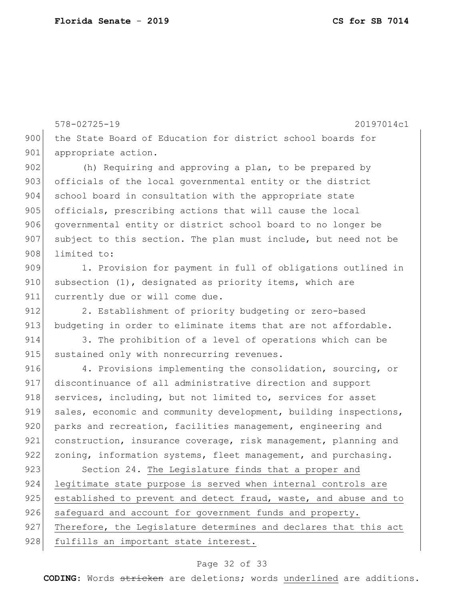578-02725-19 20197014c1 900 the State Board of Education for district school boards for 901 appropriate action. 902 (h) Requiring and approving a plan, to be prepared by 903 officials of the local governmental entity or the district 904 school board in consultation with the appropriate state 905 officials, prescribing actions that will cause the local 906 governmental entity or district school board to no longer be 907 subject to this section. The plan must include, but need not be 908 limited to: 909 1. Provision for payment in full of obligations outlined in 910 subsection (1), designated as priority items, which are 911 currently due or will come due. 912 2. Establishment of priority budgeting or zero-based 913 budgeting in order to eliminate items that are not affordable. 914 3. The prohibition of a level of operations which can be 915 sustained only with nonrecurring revenues. 916 4. Provisions implementing the consolidation, sourcing, or 917 discontinuance of all administrative direction and support 918 services, including, but not limited to, services for asset 919 sales, economic and community development, building inspections, 920 parks and recreation, facilities management, engineering and 921 construction, insurance coverage, risk management, planning and 922 zoning, information systems, fleet management, and purchasing. 923 Section 24. The Legislature finds that a proper and 924 legitimate state purpose is served when internal controls are 925 established to prevent and detect fraud, waste, and abuse and to 926 safequard and account for government funds and property. 927 Therefore, the Legislature determines and declares that this act 928 fulfills an important state interest.

### Page 32 of 33